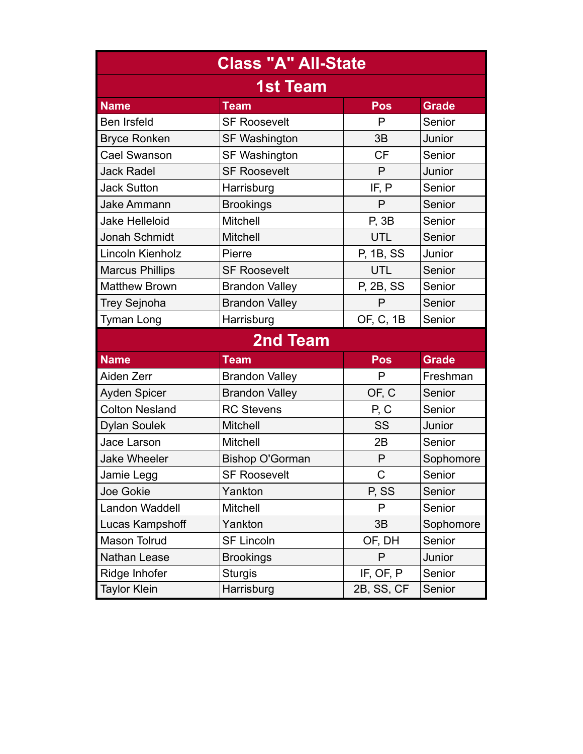| <b>Class "A" All-State</b> |                        |            |              |  |  |  |  |  |  |
|----------------------------|------------------------|------------|--------------|--|--|--|--|--|--|
| <b>1st Team</b>            |                        |            |              |  |  |  |  |  |  |
| <b>Name</b>                | <b>Team</b>            | Pos        | <b>Grade</b> |  |  |  |  |  |  |
| <b>Ben Irsfeld</b>         | <b>SF Roosevelt</b>    | P          | Senior       |  |  |  |  |  |  |
| <b>Bryce Ronken</b>        | <b>SF Washington</b>   | 3B         | Junior       |  |  |  |  |  |  |
| <b>Cael Swanson</b>        | <b>SF Washington</b>   | <b>CF</b>  | Senior       |  |  |  |  |  |  |
| <b>Jack Radel</b>          | <b>SF Roosevelt</b>    | P          | Junior       |  |  |  |  |  |  |
| <b>Jack Sutton</b>         | Harrisburg             | IF, P      | Senior       |  |  |  |  |  |  |
| <b>Jake Ammann</b>         | <b>Brookings</b>       | P          | Senior       |  |  |  |  |  |  |
| <b>Jake Helleloid</b>      | <b>Mitchell</b>        | P, 3B      | Senior       |  |  |  |  |  |  |
| Jonah Schmidt              | Mitchell               | UTL        | Senior       |  |  |  |  |  |  |
| Lincoln Kienholz           | Pierre                 | P, 1B, SS  | Junior       |  |  |  |  |  |  |
| <b>Marcus Phillips</b>     | <b>SF Roosevelt</b>    | <b>UTL</b> | Senior       |  |  |  |  |  |  |
| <b>Matthew Brown</b>       | <b>Brandon Valley</b>  | P, 2B, SS  | Senior       |  |  |  |  |  |  |
| <b>Trey Sejnoha</b>        | <b>Brandon Valley</b>  | P          | Senior       |  |  |  |  |  |  |
| <b>Tyman Long</b>          | Harrisburg             | OF, C, 1B  | Senior       |  |  |  |  |  |  |
| <b>2nd Team</b>            |                        |            |              |  |  |  |  |  |  |
| <b>Name</b>                | <b>Team</b>            | <b>Pos</b> | <b>Grade</b> |  |  |  |  |  |  |
| Aiden Zerr                 | <b>Brandon Valley</b>  | P          | Freshman     |  |  |  |  |  |  |
| <b>Ayden Spicer</b>        | <b>Brandon Valley</b>  | OF, C      | Senior       |  |  |  |  |  |  |
| <b>Colton Nesland</b>      | <b>RC Stevens</b>      | P, C       | Senior       |  |  |  |  |  |  |
| <b>Dylan Soulek</b>        | Mitchell               | SS         | Junior       |  |  |  |  |  |  |
| Jace Larson                | Mitchell               | 2B         | Senior       |  |  |  |  |  |  |
| <b>Jake Wheeler</b>        | <b>Bishop O'Gorman</b> | P          | Sophomore    |  |  |  |  |  |  |
| Jamie Legg                 | <b>SF Roosevelt</b>    | C          | Senior       |  |  |  |  |  |  |
| Joe Gokie                  | Yankton                | P, SS      | Senior       |  |  |  |  |  |  |
| Landon Waddell             | Mitchell               | P          | Senior       |  |  |  |  |  |  |
| Lucas Kampshoff            | Yankton                | 3B         | Sophomore    |  |  |  |  |  |  |
| Mason Tolrud               | <b>SF Lincoln</b>      | OF, DH     | Senior       |  |  |  |  |  |  |
| Nathan Lease               | <b>Brookings</b>       | P          | Junior       |  |  |  |  |  |  |
| Ridge Inhofer              | <b>Sturgis</b>         | IF, OF, P  | Senior       |  |  |  |  |  |  |
| <b>Taylor Klein</b>        | Harrisburg             | 2B, SS, CF | Senior       |  |  |  |  |  |  |